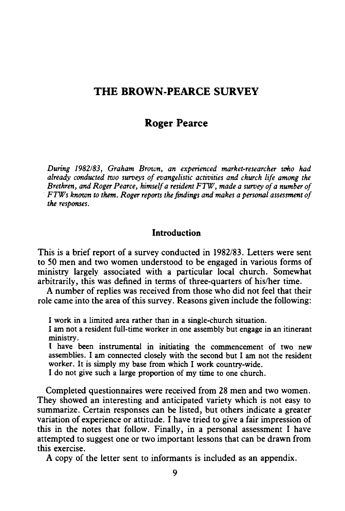## **THE BROWN-PEARCE SURVEY**

# **Roger Pearce**

*During 1982183, Graham Brown, an experienced market-researcher who had already conducted two surveys of evangelistic activities and church life among the Brethren, and Roger Pearce, himself a resident F1W, made a survey of a number of*  · *F1Ws known to them. Roger reports the findings and makes a personal assessment of the responses.* 

## **Introduction**

This is a brief report of a survey conducted in 1982/83. Letters were sent to 50 men and two women understood to be engaged in various forms of ministry largely associated with a particular local church. Somewhat arbitrarily, this was defined in terms of three-quarters of his/her time.

A number of replies was received from those who did not feel that their role came into the area of this survey. Reasons given include the following:

I work in a limited area rather than in a single-church situation.

I am not a resident full-time worker in one assembly but engage in an itinerant ministry.

I have been instrumental in initiating the commencement of two new assemblies. I am connected closely with the second but I am not the resident worker. It is simply my base from which I work country-wide.

I do not give such a large proportion of my time to one church.

Completed questionnaires were received from 28 men and two women. They showed an interesting and anticipated variety which is not easy to summarize. Certain responses can be listed, but others indicate a greater variation of experience or attitude. I have tried to give a fair impression of this in the notes that follow. Finally, in a personal assessment I have attempted to suggest one or two important lessons that can be drawn from this exercise.

A copy of the letter sent to informants is included as an appendix.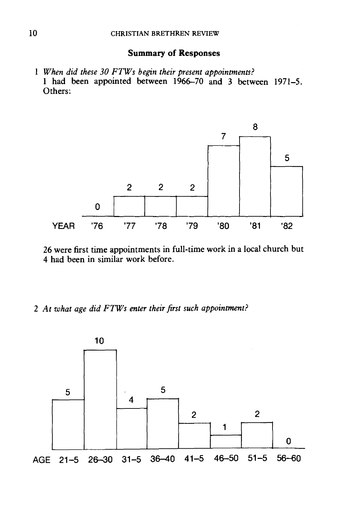### Summary of Responses

*When did these 30 FTWs begin their present appointments?*  1 had been appointed between 1966-70 and 3 between 1971-5. Others:



26 were first time appointments in full-time work in a local church but 4 had been in similar work before.

2 *At what age did FTWs enter their first such appointment?* 

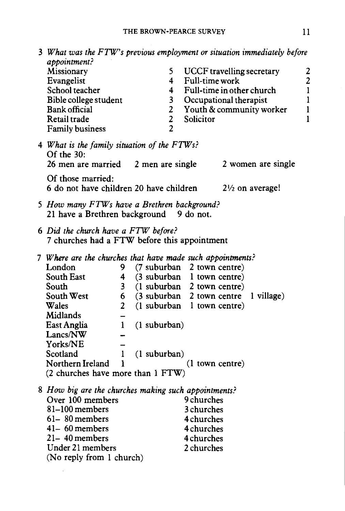| 3 What was the FTW's previous employment or situation immediately before<br>appointment? |                          |                                                                   |                |                            |                            |                         |
|------------------------------------------------------------------------------------------|--------------------------|-------------------------------------------------------------------|----------------|----------------------------|----------------------------|-------------------------|
| Missionary                                                                               |                          |                                                                   | 5              |                            | UCCF travelling secretary  | 2                       |
| Evangelist                                                                               |                          |                                                                   | 4              | Full-time work             |                            | $\overline{\mathbf{c}}$ |
| School teacher                                                                           |                          |                                                                   | $\overline{4}$ |                            | Full-time in other church  | $\mathbf{1}$            |
| Bible college student                                                                    |                          |                                                                   | 3              |                            | Occupational therapist     | $\mathbf{1}$            |
| <b>Bank</b> official                                                                     |                          |                                                                   | $\overline{2}$ |                            | Youth & community worker   | $\mathbf{I}$            |
| Retail trade                                                                             |                          |                                                                   | $\overline{c}$ | Solicitor                  |                            | $\mathbf{1}$            |
| <b>Family business</b>                                                                   |                          |                                                                   | $\overline{2}$ |                            |                            |                         |
| Of the $30:$<br>26 men are married 2 men are single                                      |                          | 4 What is the family situation of the FTWs?<br>2 women are single |                |                            |                            |                         |
|                                                                                          |                          |                                                                   |                |                            |                            |                         |
| Of those married:<br>6 do not have children 20 have children                             |                          |                                                                   |                |                            | $2\frac{1}{2}$ on average! |                         |
| 5 How many FTWs have a Brethren background?<br>21 have a Brethren background 9 do not.   |                          |                                                                   |                |                            |                            |                         |
| 6 Did the church have a FTW before?<br>7 churches had a FTW before this appointment      |                          |                                                                   |                |                            |                            |                         |
| 7 Where are the churches that have made such appointments?                               |                          |                                                                   |                |                            |                            |                         |
| London                                                                                   | 9.                       |                                                                   |                | (7 suburban 2 town centre) |                            |                         |
| South East                                                                               | 4                        |                                                                   |                | (3 suburban 1 town centre) |                            |                         |
| South                                                                                    | 3.                       |                                                                   |                | (1 suburban 2 town centre) |                            |                         |
| South West                                                                               | 6                        |                                                                   |                | (3 suburban 2 town centre  | 1 village)                 |                         |
| Wales                                                                                    | $\overline{2}$           |                                                                   |                | (1 suburban 1 town centre) |                            |                         |
| Midlands                                                                                 |                          |                                                                   |                |                            |                            |                         |
| East Anglia                                                                              | $\mathbf{1}$             | $(1$ suburban $)$                                                 |                |                            |                            |                         |
| Lancs/NW                                                                                 |                          |                                                                   |                |                            |                            |                         |
| Yorks/NE                                                                                 | $\overline{\phantom{0}}$ |                                                                   |                |                            |                            |                         |
| Scotland<br>Northern Ireland                                                             | 1<br>1                   | $(1$ suburban $)$                                                 |                |                            |                            |                         |
| (2 churches have more than 1 FTW)                                                        |                          |                                                                   |                | $(1$ town centre)          |                            |                         |
|                                                                                          |                          |                                                                   |                |                            |                            |                         |
| 8 How big are the churches making such appointments?                                     |                          |                                                                   |                |                            |                            |                         |
| Over 100 members<br>81-100 members                                                       |                          |                                                                   |                | 9 churches                 |                            |                         |
| $61 - 80$ members                                                                        |                          |                                                                   |                | 3 churches                 |                            |                         |
| 41-60 members                                                                            |                          |                                                                   |                | 4 churches<br>4 churches   |                            |                         |
| $21 - 40$ members                                                                        |                          |                                                                   |                | 4 churches                 |                            |                         |
| Under 21 members                                                                         |                          |                                                                   |                | 2 churches                 |                            |                         |
| (No reply from 1 church)                                                                 |                          |                                                                   |                |                            |                            |                         |

l.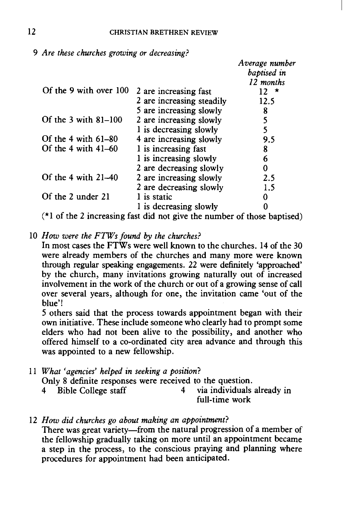|  |  |  | 9 Are these churches growing or decreasing? |
|--|--|--|---------------------------------------------|

|                          |                           | Average number<br>baptised in<br>12 months |
|--------------------------|---------------------------|--------------------------------------------|
| Of the 9 with over 100   | 2 are increasing fast     | $12$ *                                     |
|                          | 2 are increasing steadily | 12.5                                       |
|                          | 5 are increasing slowly   | 8                                          |
| Of the $3$ with $81-100$ | 2 are increasing slowly   | 5                                          |
|                          | 1 is decreasing slowly    | 5                                          |
| Of the $4$ with $61-80$  | 4 are increasing slowly   | 9.5                                        |
| Of the 4 with $41-60$    | 1 is increasing fast      | 8                                          |
|                          | 1 is increasing slowly    | 6                                          |
|                          | 2 are decreasing slowly   | 0                                          |
| Of the $4$ with $21-40$  | 2 are increasing slowly   | 2.5                                        |
|                          | 2 are decreasing slowly   | 1.5                                        |
| Of the 2 under 21        | 1 is static               | 0                                          |
|                          | 1 is decreasing slowly    |                                            |
|                          |                           |                                            |

 $(*1$  of the 2 increasing fast did not give the number of those baptised)

10 *How were the FTWs found by the churches?* 

In most cases the FTWs were well known to the churches. 14 of the 30 were already members of the churches and many more were known through regular speaking engagements. 22 were definitely 'approached' by the church, many invitations growing naturally out of increased involvement in the work of the church or out of a growing sense of call over several years, although for one, the invitation came 'out of the blue'!

5 others said that the process towards appointment began with their own initiative. These include someone who clearly had to prompt some elders who had not been alive to the possibility, and another who offered himself to a co-ordinated city area advance and through this was appointed to a new fellowship.

11 *What 'agencies' helped in seeking a position?* 

Only 8 definite responses were received to the question.<br>4 Bible College staff 4 via individuals

via individuals already in full-time work

## 12 *How did churches go about making an appointment?*

There was great variety—from the natural progression of a member of the fellowship gradually taking on more until an appointment became a step in the process, to the conscious praying and planning where procedures for appointment had been anticipated.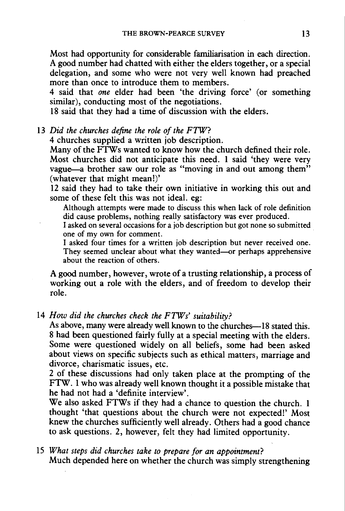Most had opportunity for considerable familiarisation in each direction. A good number had chatted with either the elders together, or a special delegation, and some who were not very well known had preached more than once to introduce them to members.

4 said that *one* elder had been 'the driving force' (or something similar), conducting most of the negotiations.

18 said that they had a time of discussion with the elders.

13 *Did the churches define the role of the FTW?* 

4 churches supplied a written job description.

Many of the FTWs wanted to know how the church defined their role. Most churches did not anticipate this need. 1 said 'they were very vague-a brother saw our role as "moving in and out among them" (whatever that might mean!)'

12 said they had to take their own initiative in working this out and some of these felt this was not ideal. eg:

Although attempts were made to discuss this when lack of role definition did cause problems, nothing really satisfactory was ever produced.

I asked on several occasions for a job description but got none so submitted one of my own for comment.

I asked four times for a written job description but never received one. They seemed unclear about what they wanted--or perhaps apprehensive about the reaction of others.

A good number, however, wrote of a trusting relationship, a process of working out a role with the elders, and of freedom to develop their role.

14 *How did the churches check the FTWs' suitability?* 

As above, many were already well known to the churches--18 stated this. 8 had been questioned fairly fully at a special meeting with the elders. Some were questioned widely on all beliefs, some had been asked about views on specific subjects such as ethical matters, marriage and divorce, charismatic issues, etc.

2 of these discussions had only taken place at the prompting of the FTW. 1 who was already well known thought it a possible mistake that he had not had a 'definite interview'.

We also asked FTWs if they had a chance to question the church. 1 thought 'that questions about the church were not expected!' Most knew the churches sufficiently well already. Others had a good chance to ask questions. 2, however, felt they had limited opportunity.

15 *What steps did churches take to prepare for an appointment?*  Much depended here on whether the church was simply strengthening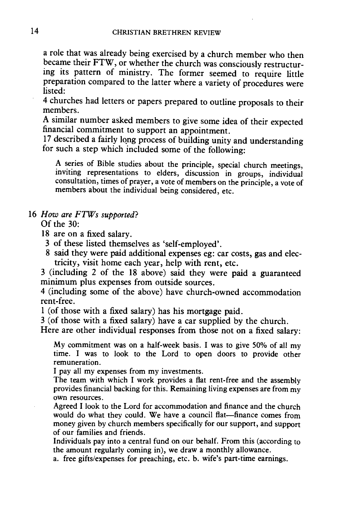a role that was already being exercised by a church member who then became their FTW, or whether the church was consciously restructuring its pattern of ministry. The former seemed to require little preparation compared to the latter where a variety of procedures were listed:

4 churches had letters or papers prepared to outline proposals to their members.

A similar number asked members to give some idea of their expected financial commitment to support an appointment.

17 described a fairly long process of building unity and understanding for such a step which included some of the following:

A series of Bible studies about the principle, special church meetings, inviting representations to elders, discussion in groups, individual consultation, times of prayer, a vote of members on the principle, a vote of members about the individual being considered, etc.

#### 16 *How are FTWs supported?*

Of the 30:

- 18 are on a fixed salary.
- 3 of these listed themselves as 'self-employed'.
- 8 said they were paid additional expenses eg: car costs, gas and electricity, visit home each year, help with rent, etc.

3 (including 2 of the 18 above) said they were paid a guaranteed minimum plus expenses from outside sources.

4 (including some of the above) have church-owned accommodation rent-free.

- 1 (of those with a fixed salary) has his mortgage paid.
- 3 (of those with a fixed salary) have a car supplied by the church.

Here are other individual responses from those not on a fixed salary:

My commitment was on a half-week basis. I was to give 50% of all my time. I was to look to the Lord to open doors to provide other remuneration.

I pay all my expenses from my investments.

The team with which I work provides a flat rent-free and the assembly provides financial backing for this. Remaining living expenses are from my own resources.

Agreed I look to the Lord for accommodation and finance and the church would do what they could. We have a council flat-finance comes from money given by church members specifically for our support, and support of our families and friends.

Individuals pay into a central fund on our behalf. From this (according to the amount regularly coming in), we draw a monthly allowance.

a. free gifts/expenses for preaching, etc. b. wife's part-time earnings.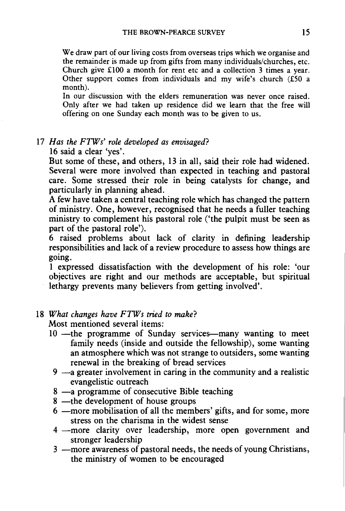We draw part of our living costs from overseas trips which we organise and the remainder is made up from gifts from many individuals/churches, etc. Church give £100 a month for rent etc and a collection 3 times a year. Other support comes from individuals and my wife's church (£50 a month).

In our discussion with the elders remuneration was never once raised. Only after we had taken up residence did we learn that the free will offering on one Sunday each month was to be given to us.

17 *Has the FTWs' role developed as envisaged?* 

16 said a clear 'yes'.

But some of these, and others, 13 in all, said their role had widened. Several were more involved than expected in teaching and pastoral care. Some stressed their role in being catalysts for change, and particularly in planning ahead.

A few have taken a central teaching role which has changed the pattern of ministry. One, however, recognised that he needs a fuller teaching ministry to complement his pastoral role ('the pulpit must be seen as part of the pastoral role').

6 raised problems about lack of clarity in defining leadership responsibilities and lack of a review procedure to assess how things are going.

1 expressed dissatisfaction with the development of his role: 'our objectives are right and our methods are acceptable, but spiritual lethargy prevents many believers from getting involved'.

#### 18 *What changes have FTWs tried to make?*

Most mentioned several items:

- 10 -the programme of Sunday services-many wanting to meet family needs (inside and outside the fellowship), some wanting an atmosphere which was not strange to outsiders, some wanting renewal in the breaking of bread services
	- $9 a$  greater involvement in caring in the community and a realistic evangelistic outreach
	- 8 -a programme of consecutive Bible teaching
	- 8 -the development of house groups
	- 6 -more mobilisation of all the members' gifts, and for some, more stress on the charisma in the widest sense
	- 4 -more clarity over leadership, more open government and stronger leadership
	- 3 more awareness of pastoral needs, the needs of young Christians, the ministry of women to be encouraged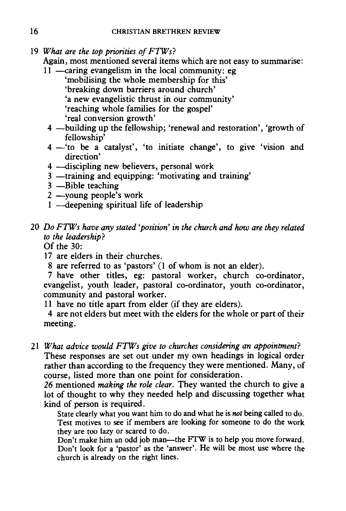- 19 *What are the top priorities of FTWs?* 
	- Again, most mentioned several items which are not easy to summarise:
	- $11$  -caring evangelism in the local community: eg 'mobilising the whole membership for this' 'breaking down barriers around church' 'a new evangelistic thrust in our community' 'reaching whole families for the gospel' 'real conversion growth'
	- 4 -building up the fellowship; 'renewal and restoration', 'growth of fellowship'
	- $4 -$ 'to be a catalyst', 'to initiate change', to give 'vision and direction'
	- 4 -discipling new believers, personal work
	- 3 -training and equipping: 'motivating and training'
	- $3$  -Bible teaching
	- $2 -$ voung people's work
	- 1 deepening spiritual life of leadership

## 20 *Do FTWs have any stated 'position' in the church and how are they related to the leadership?*

Of the 30:

- 17 are elders in their churches.
- 8 are referred to as 'pastors' (1 of whom is not an elder).

7 have other titles, eg: pastoral worker, church co-ordinator, evangelist, youth leader, pastoral co-ordinator, youth co-ordinator, community and pastoral worker.

11 have no title apart from elder (if they are elders).

4 are not elders but meet with the elders for the whole or part of their meeting.

21 *What advice would FTWs give to churches considering an appointment?* 

These responses are set out under my own headings in logical order rather than according to the frequency they were mentioned. Many, of course, listed more than one point for consideration.

*26* mentioned *making the role clear.* They wanted the church to give a lot of thought to why they needed help and discussing together what kind of person is required.

State clearly what you want him to do and what he is *not* being called to do. Test motives to see if members are looking for someone to do the work they are too lazy or scared to do.

Don't make him an odd job man-the FTW is to help you move forward. Don't look for a 'pastor' as the 'answer'. He will be most use where the church is already on the right lines.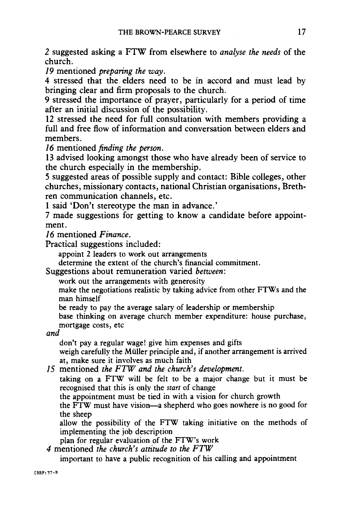*2* suggested asking a FTW from elsewhere to *analyse the needs* of the church.

*19* mentioned *preparing the way.* 

4 stressed that the. elders need to be in accord and must lead by bringing clear and firm proposals to the church.

9 stressed the importance of prayer, particularly for a period of time after an initial discussion of the possibility.

12 stressed the need for full consultation with members providing a full and free flow of information and conversation between elders and members.

*16* mentioned *finding the person.* 

13 advised looking amongst those who have already been of service to the church especially in the membership.

5 suggested areas of possible supply and contact: Bible colleges, other churches, missionary contacts, national Christian organisations, Brethren communication channels, etc.

1 said 'Don't stereotype the man in advance.'

7 made suggestions for getting to know a candidate before appointment.

*16* mentioned *Finance.* 

Practical suggestions included:

appoint 2 leaders to work out arrangements

determine the extent of the church's financial commitment.

Suggestions about remuneration varied *between:* 

work out the arrangements with generosity

make the negotiations realistic by taking advice from other FTWs and the man himself

be ready to pay the average salary of leadership or membership

base thinking on average church member expenditure: house purchase, mortgage costs, etc

*and* 

don't pay a regular wage! give him expenses and gifts weigh carefully the Muller principle and, if another arrangement is arrived

at, make sure it involves as much faith

*15* mentioned *the FTW and the church's development.* 

taking on a FTW will be felt to be a major change but it must be recognised that this is only the *start* of change

the appointment must be tied in with a vision for church growth

the FTW must have vision-a shepherd who goes nowhere is no good for the sheep

allow the possibility of the FTW taking initiative on the methods of implementing the job description

plan for regular evaluation of the FTW's work

*4* mentioned *the church's attitude to the FTW* 

important to have a public recognition of his calling and appointment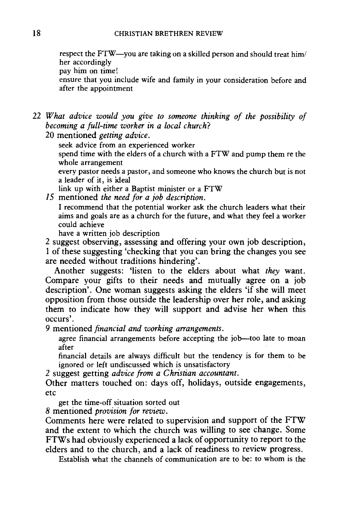respect the FTW-you are taking on a skilled person and should treat him/ her accordingly

pay him on time!

ensure that you include wife and family in your consideration before and after the appointment

22 *What advice would you give to someone thinking of the possibility of becoming a full-time worker in a local church?* 

20 mentioned *getting advice.* 

seek advice from an experienced worker

spend time with the elders of a church with a FTW and pump them re the whole arrangement

every pastor needs a pastor, and someone who knows the church but is not a leader of it, is ideal

link up with either a Baptist minister or a FTW

*15* mentioned *the need for a job description.* 

I recommend that the potential worker ask the church leaders what their aims and goals are as a church for the future, and what they feel a worker could achieve

have a written job description

2 suggest observing, assessing and offering your own job description, 1 of these suggesting 'checking that you can bring the changes you see are needed without traditions hindering'.

Another suggests: 'listen to the elders about what *they* want. Compare your gifts to their needs and mutually agree on a job description'. One woman suggests asking the elders 'if she will meet opposition from those outside the leadership over her role, and asking them to indicate how they will support and advise her when this occurs'.

*9* mentioned *financial and working arrangements.* 

agree financial arrangements before accepting the job-too late to moan after

financial details are always difficult but the tendency is for them to be ignored or left undiscussed which is unsatisfactory

*2* suggest getting *advice from a Christian accountant.* 

Other matters touched on: days off, holidays, outside engagements, etc

get the time-off situation sorted out

*8* mentioned *provision for review.* 

Comments here were related to supervision and support of the FTW and the extent to which the church was willing to see change. Some FTWs had obviously experienced a lack of opportunity to report to the elders and to the church, and a lack of readiness to review progress.

Establish what the channels of communication are to be: to whom is the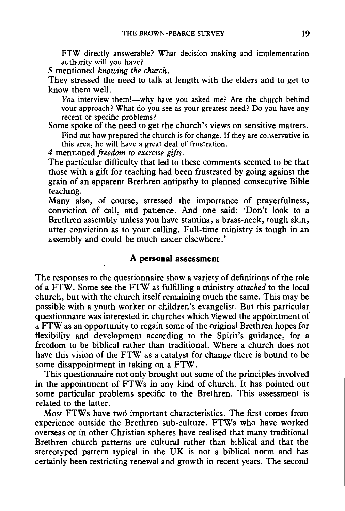FTW directly answerable? What decision making and implementation authority will you have?

*5* mentioned *knowing the church.* 

They stressed the need to talk at length with the elders and to get to know them well.

You interview them!—why have you asked me? Are the church behind your approach? What do you see as your greatest need? Do you have any recent or specific problems?

Some spoke of the need to get the church's views on sensitive matters. Find out how prepared the church is for change. If they are conservative in

this area, he will have a great deal of frustration.

*4* mentioned *freedom to exercise gifts.* 

The particular difficulty that led to these comments seemed to be that those with a gift for teaching had been frustrated by going against the grain of an apparent Brethren antipathy to planned consecutive Bible teaching.

Many also, of course, stressed the importance of prayerfulness, conviction of call, and patience. And one said: 'Don't look to a Brethren assembly unless you have stamina, a brass-neck, tough skin, utter conviction as to your calling. Full-time ministry is tough in an assembly and could be much easier elsewhere.'

## A personal assessment

The responses to the questionnaire show a variety of definitions of the role of a FTW. Some see the FTW as fulfilling a ministry *attached* to the local church, but with the church itself remaining much the same. This may be possible with a youth worker or children's evangelist. But this particular questionnaire was interested in churches which viewed the appointment of a FTW as an opportunity to regain some of the original Brethren hopes for flexibility and development according to the Spirit's guidance, for a freedom to be biblical rather than traditional. Where a church does not have this vision of the FTW as a catalyst for change there is bound to be some disappointment in taking on a FTW.

This questionnaire not only brought out some of the principles involved in the appointment of FTWs in any kind of church. It has pointed out some particular problems specific to the Brethren. This assessment is related to the latter.

Most FTWs have two important characteristics. The first comes from experience outside the Brethren sub-culture. FTWs who have worked overseas or in other Christian spheres have realised that many traditional Brethren church patterns are cultural rather than biblical and that the stereotyped pattern typical in the UK is not a biblical norm and has certainly been restricting renewal and growth in recent years. The second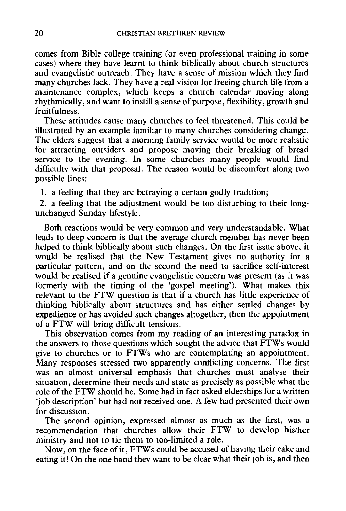comes from Bible college training (or even professional training in some cases) where they have learnt to think biblically about church structures and evangelistic outreach. They have a sense of mission which they find many churches lack. They have a real vision for freeing church life from a maintenance complex, which keeps a church calendar moving along rhythmically, and want to instill a sense of purpose, flexibility, growth and fruitfulness.

These attitudes cause many churches to feel threatened. This could be illustrated by an example familiar to many churches considering change. The elders suggest that a morning family service would be more realistic for attracting outsiders and propose moving their breaking of bread service to the evening. In some churches many people would find difficulty with that proposal. The reason would be discomfort along two possible lines:

1. a feeling that they are betraying a certain godly tradition;

2. a feeling that the adjustment would be too disturbing to their longunchanged Sunday lifestyle.

Both reactions would be very common and very understandable. What leads to deep concern is that the average church member has never been helped to think biblically about such changes. On the first issue above, it would be realised that the New Testament gives no authority for a particular pattern, and on the second the need to sacrifice self-interest would be realised if a genuine evangelistic concern was present (as it was formerly with the timing of the 'gospel meeting'). What makes this relevant to the FTW question is that if a church has little experience of thinking biblically about structures and has either settled changes by expedience or has avoided such changes altogether, then the appointment of a FTW will bring difficult tensions.

This observation comes from my reading of an interesting paradox in the answers to those questions which sought the advice that FTWs would give to churches or to FTWs who are contemplating an appointment. Many responses stressed two apparently conflicting concerns. The first was an almost universal emphasis that churches must analyse their situation, determine their needs and state as precisely as possible what the role of the FTW should be. Some had in fact asked elderships for a written 'job description' but had not received one. A few had presented their own for discussion.

The second opinion, expressed almost as much as the first, was a recommendation that churches allow their FTW to develop his/her ministry and not to tie them to too-limited a role.

Now, on the face of it, FTW s could be accused of having their cake and eating it! On the one hand they want to be clear what their job is, and then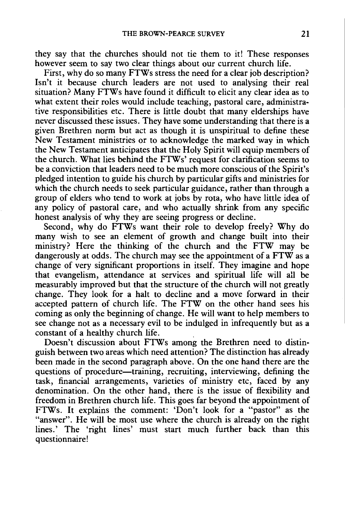they say that the churches should not tie them to it! These responses however seem to say two clear things about our current church life.

First, why do so many FTWs stress the need for a clear job description? Isn't it because church leaders are not used to analysing their real situation? Many FTWs have found it difficult to elicit any clear idea as to what extent their roles would include teaching, pastoral care, administrative responsibilities etc. There is little doubt that many elderships have never discussed these issues. They have some understanding that there is a given Brethren norm but act as though it is unspiritual to define these New Testament ministries or to acknowledge the marked way in which the New Testament anticipates that the Holy Spirit will equip members of the church. What lies behind the FTWs' request for clarification seems to be a conviction that leaders need to be much more conscious of the Spirit's pledged intention to guide his church by particular gifts and ministries for which the church needs to seek particular guidance, rather than through a group of elders who tend to work at jobs by rota, who have little idea of any policy of pastoral care, and who actually shrink from any specific honest analysis of why they are seeing progress or decline.

Second, why do FTWs want their role to develop freely? Why do many wish to see an element of growth and change built into their ministry? Here the thinking of the church and the FTW may be dangerously at odds. The church may see the appointment of a FTW as a change of very significant proportions in itself. They imagine and hope that evangelism, attendance at services and spiritual life will all be measurably improved but that the structure of the church will not greatly change. They look for a halt to decline and a move forward in their accepted pattern of church life. The FTW on the other hand sees his coming as only the beginning of change. He will want to help members to see change not as a necessary evil to be indulged in infrequently but as a constant of a healthy church life. .

Doesn't discussion about FTWs among the Brethren need to distinguish between two areas which need attention? The distinction has already been made in the second paragraph above. On the one hand there are the questions of procedure—training, recruiting, interviewing, defining the task, financial arrangements, varieties of ministry etc, faced by any denomination. On the other hand, there is the issue of flexibility and freedom in Brethren church life. This goes far beyond the appointment of FTWs. It explains the comment: 'Don't look for a "pastor" as the "answer". He will be most use where the church is already on the right lines.' The 'right lines' must start much further back than this questionnaire!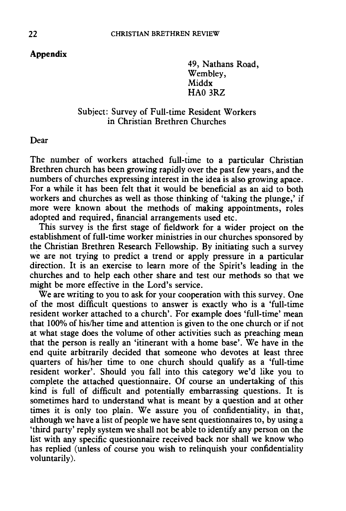#### **Appendix**

49, Nathans Road, Wembley, **Middx** HA03RZ

## Subject: Survey of Full-time Resident Workers in Christian Brethren Churches

#### Dear

The number of workers attached full-time to a particular Christian Brethren church has been growing rapidly over the past few years, and the numbers of churches expressing interest in the idea is also growing apace. For a while it has been felt that it would be beneficial as an aid to both workers and churches as well as those thinking of 'taking the plunge,' if more were known about the methods of making appointments, roles adopted and required, financial arrangements used etc.

This survey is the first stage of fieldwork for a wider project on the establishment of full-time worker ministries in our churches sponsored by the Christian Brethren Research Fellowship. By initiating such a survey we are not trying to predict a trend or apply pressure in a particular direction. It is an exercise to learn more of the Spirit's leading in the churches and to help each other share and test our methods so that we might be more effective in the Lord's service.

We are writing to you to ask for your cooperation with this survey. One of the most difficult questions to answer is exactly who is a 'full-time resident worker attached to a church'. For example does 'full-time' mean that 100% of his/her time and attention is given to the one church or if not at what stage does the volume of other activities such as preaching mean that the person is really an 'itinerant with a home base'. We have in the end quite arbitrarily decided that someone who devotes at least three quarters of his/her time to one church should qualify as a 'full-time resident worker'. Should you fall into this category we'd like you to complete the attached questionnaire. Of course an undertaking of this kind is full of difficult and potentially embarrassing questions. It is sometimes hard to understand what is meant by a question and at other times it is only too plain. We assure you of confidentiality, in that, although we have a list of people we have sent questionnaires to, by using a 'third party' reply system we shall not be able to identify any person on the list with any specific questionnaire received back nor shall we know who has replied (unless of course you wish to relinquish your confidentiality voluntarily).